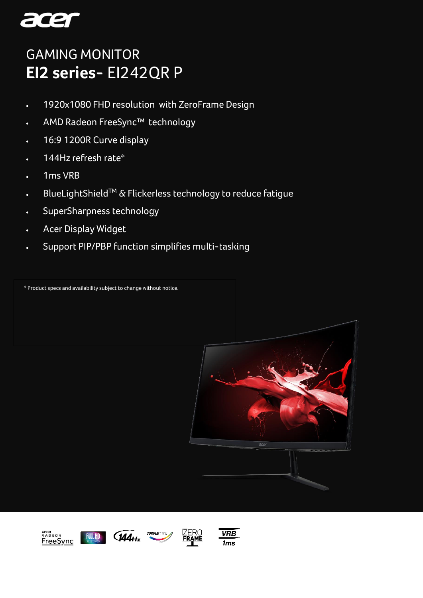

# GAMING MONITOR GAMING MONITOR**EI2 series-** EI242QR P

- 1920x1080 FHD resolution with ZeroFrame Design
- AMD Radeon FreeSync™ technology
- 16:9 1200R Curve display
- 144Hz refresh rate\*
- 1ms VRB
- BlueLightShieldTM & Flickerless technology to reduce fatigue
- SuperSharpness technology
- Acer Display Widget
- Support PIP/PBP function simplifies multi-tasking

\* Product specs and availability subject to change without notice.









 $CURVED \n\approx$